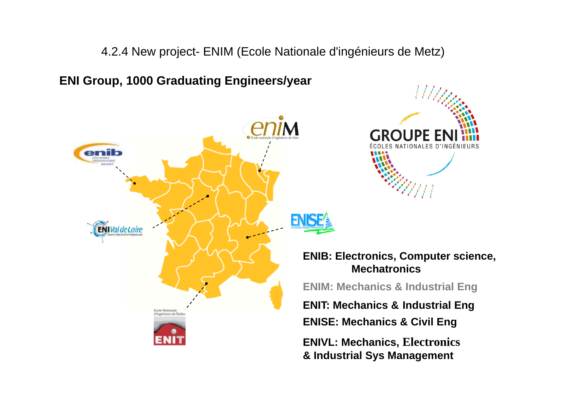4.2.4 New project- ENIM (Ecole Nationale d'ingénieurs de Metz)

**ENI Group, 1000 Graduating Engineers/year**





**ENIT: Mechanics & Industrial Eng ENIB: Electronics, Computer science, MechatronicsENIM: Mechanics & Industrial Eng ENISE: Mechanics & Civil Eng ENIVL: Mechanics, Electronics & Industrial Sys Management**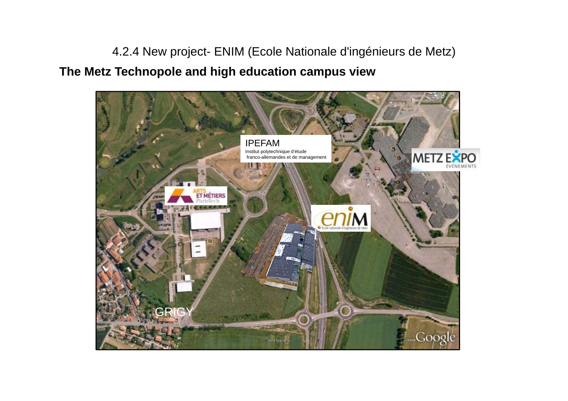4.2.4 New project- ENIM (Ecole Nationale d'ingénieurs de Metz) **The Metz Technopole and high education campus view**

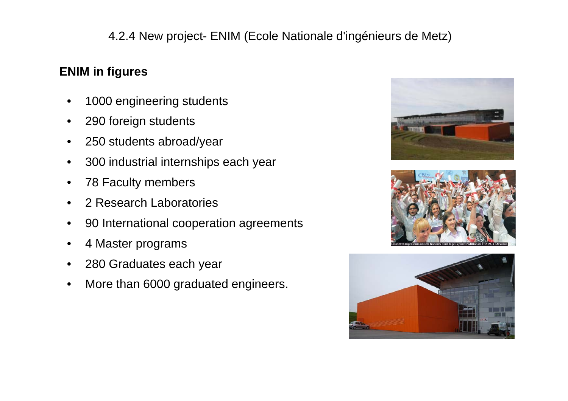# 4.2.4 New project- ENIM (Ecole Nationale d'ingénieurs de Metz)

## **ENIM in figures**

- $\bullet$ 1000 engineering students
- $\bullet$ 290 foreign students
- $\bullet$ 250 students abroad/year
- $\bullet$ 300 industrial internships each year
- $\bullet$ 78 Faculty members
- $\bullet$ 2 Research Laboratories
- $\bullet$ 90 International cooperation agreements
- $\bullet$ 4 Master programs
- $\bullet$ 280 Graduates each year
- $\bullet$ More than 6000 graduated engineers.





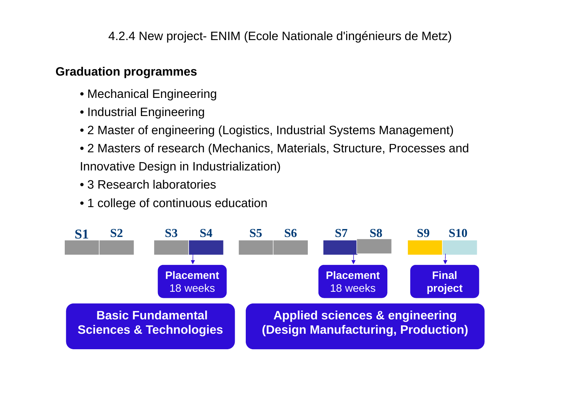4.2.4 New project- ENIM (Ecole Nationale d'ingénieurs de Metz)

### **Graduation programmes**

- Mechanical Engineering
- Industrial Engineering
- 2 Master of engineering (Logistics, Industrial Systems Management)
- 2 Masters of research (Mechanics, Materials, Structure, Processes and Innovative Design in Industrialization)
- 3 Research laboratories
- 1 college of continuous education

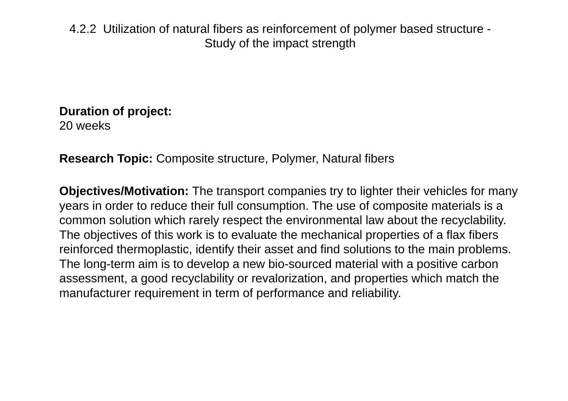4.2.2 Utilization of natural fibers as reinforcement of polymer based structure - Study of the impact strength

**Duration of project:**  20 weeks

**Research Topic:** Composite structure, Polymer, Natural fibers

**Objectives/Motivation:** The transport companies try to lighter their vehicles for many years in order to reduce their full consumption. The use of composite materials is a common solution which rarely respect the environmental law about the recyclability. The objectives of this work is to evaluate the mechanical properties of a flax fibers reinforced thermoplastic, identify their asset and find solutions to the main problems. The long-term aim is to develop a new bio-sourced material with a positive carbon assessment, a good recyclability or revalorization, and properties which match the manufacturer requirement in term of performance and reliability.